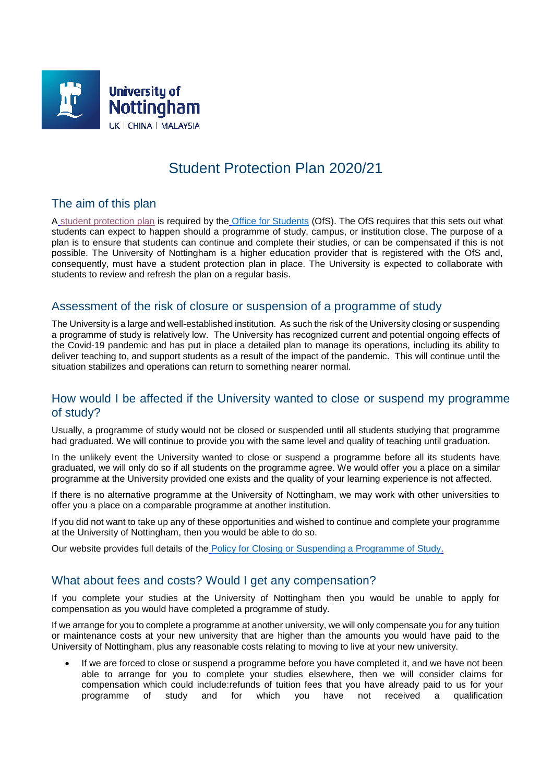

# Student Protection Plan 2020/21

## The aim of this plan

A [student protection plan](https://www.officeforstudents.org.uk/advice-and-guidance/student-wellbeing-and-protection/student-protection/student-protection-plans/) is required by the [Office for Students](https://www.officeforstudents.org.uk/) (OfS). The OfS requires that this sets out what students can expect to happen should a programme of study, campus, or institution close. The purpose of a plan is to ensure that students can continue and complete their studies, or can be compensated if this is not possible. The University of Nottingham is a higher education provider that is registered with the OfS and, consequently, must have a student protection plan in place. The University is expected to collaborate with students to review and refresh the plan on a regular basis.

#### Assessment of the risk of closure or suspension of a programme of study

The University is a large and well-established institution. As such the risk of the University closing or suspending a programme of study is relatively low. The University has recognized current and potential ongoing effects of the Covid-19 pandemic and has put in place a detailed plan to manage its operations, including its ability to deliver teaching to, and support students as a result of the impact of the pandemic. This will continue until the situation stabilizes and operations can return to something nearer normal.

#### How would I be affected if the University wanted to close or suspend my programme of study?

Usually, a programme of study would not be closed or suspended until all students studying that programme had graduated. We will continue to provide you with the same level and quality of teaching until graduation.

In the unlikely event the University wanted to close or suspend a programme before all its students have graduated, we will only do so if all students on the programme agree. We would offer you a place on a similar programme at the University provided one exists and the quality of your learning experience is not affected.

If there is no alternative programme at the University of Nottingham, we may work with other universities to offer you a place on a comparable programme at another institution.

If you did not want to take up any of these opportunities and wished to continue and complete your programme at the University of Nottingham, then you would be able to do so.

Our website provides full details of the **[Policy for Closing or Suspending a Programme of Study.](https://www.nottingham.ac.uk/qualitymanual/quality-manual.aspx)** 

#### What about fees and costs? Would I get any compensation?

If you complete your studies at the University of Nottingham then you would be unable to apply for compensation as you would have completed a programme of study.

If we arrange for you to complete a programme at another university, we will only compensate you for any tuition or maintenance costs at your new university that are higher than the amounts you would have paid to the University of Nottingham, plus any reasonable costs relating to moving to live at your new university.

 If we are forced to close or suspend a programme before you have completed it, and we have not been able to arrange for you to complete your studies elsewhere, then we will consider claims for compensation which could include:refunds of tuition fees that you have already paid to us for your programme of study and for which you have not received a qualification